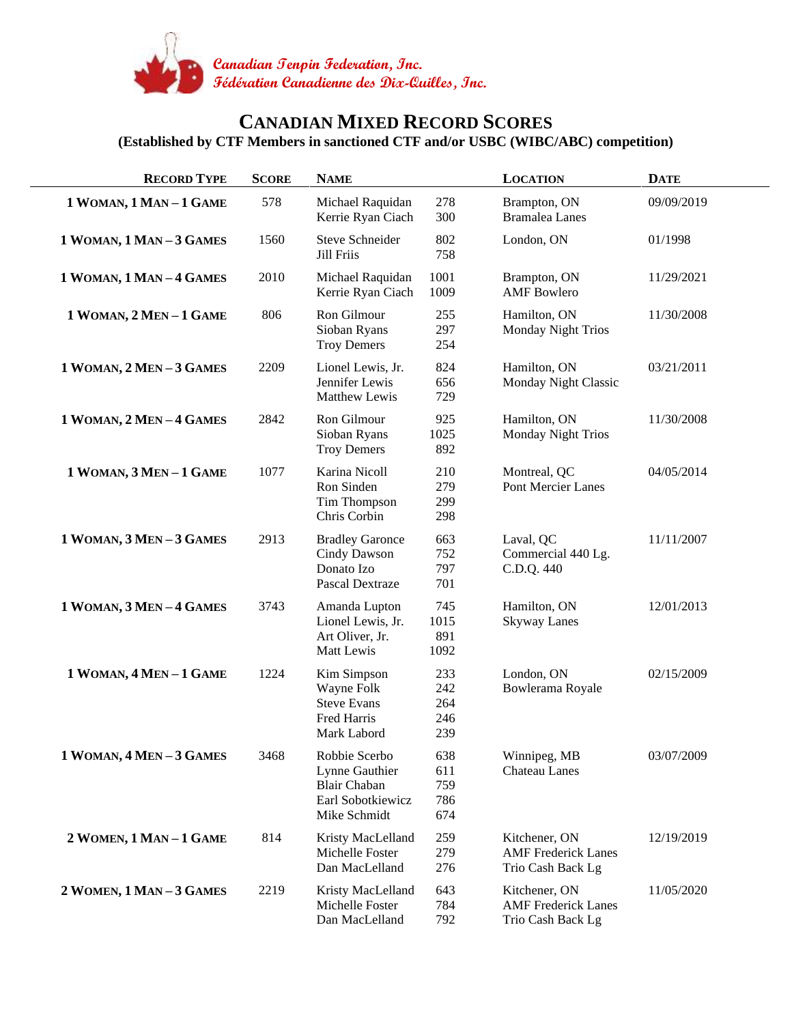

## **CANADIAN MIXED RECORD SCORES (Established by CTF Members in sanctioned CTF and/or USBC (WIBC/ABC) competition)**

| <b>RECORD TYPE</b>       | <b>SCORE</b> | <b>NAME</b>                                                                                 |                                 | <b>LOCATION</b>                                                  | <b>DATE</b> |
|--------------------------|--------------|---------------------------------------------------------------------------------------------|---------------------------------|------------------------------------------------------------------|-------------|
| 1 WOMAN, 1 MAN-1 GAME    | 578          | Michael Raquidan<br>Kerrie Ryan Ciach                                                       | 278<br>300                      | Brampton, ON<br><b>Bramalea</b> Lanes                            | 09/09/2019  |
| 1 WOMAN, 1 MAN-3 GAMES   | 1560         | <b>Steve Schneider</b><br>Jill Friis                                                        | 802<br>758                      | London, ON                                                       | 01/1998     |
| 1 WOMAN, 1 MAN - 4 GAMES | 2010         | Michael Raquidan<br>Kerrie Ryan Ciach                                                       | 1001<br>1009                    | Brampton, ON<br><b>AMF</b> Bowlero                               | 11/29/2021  |
| 1 WOMAN, 2 MEN-1 GAME    | 806          | Ron Gilmour<br>Sioban Ryans<br><b>Troy Demers</b>                                           | 255<br>297<br>254               | Hamilton, ON<br>Monday Night Trios                               | 11/30/2008  |
| 1 WOMAN, 2 MEN - 3 GAMES | 2209         | Lionel Lewis, Jr.<br>Jennifer Lewis<br>Matthew Lewis                                        | 824<br>656<br>729               | Hamilton, ON<br>Monday Night Classic                             | 03/21/2011  |
| 1 WOMAN, 2 MEN-4 GAMES   | 2842         | Ron Gilmour<br>Sioban Ryans<br><b>Troy Demers</b>                                           | 925<br>1025<br>892              | Hamilton, ON<br>Monday Night Trios                               | 11/30/2008  |
| 1 WOMAN, 3 MEN-1 GAME    | 1077         | Karina Nicoll<br>Ron Sinden<br>Tim Thompson<br>Chris Corbin                                 | 210<br>279<br>299<br>298        | Montreal, QC<br><b>Pont Mercier Lanes</b>                        | 04/05/2014  |
| 1 WOMAN, 3 MEN-3 GAMES   | 2913         | <b>Bradley Garonce</b><br>Cindy Dawson<br>Donato Izo<br><b>Pascal Dextraze</b>              | 663<br>752<br>797<br>701        | Laval, QC<br>Commercial 440 Lg.<br>C.D.Q. 440                    | 11/11/2007  |
| 1 WOMAN, 3 MEN-4 GAMES   | 3743         | Amanda Lupton<br>Lionel Lewis, Jr.<br>Art Oliver, Jr.<br>Matt Lewis                         | 745<br>1015<br>891<br>1092      | Hamilton, ON<br><b>Skyway Lanes</b>                              | 12/01/2013  |
| 1 WOMAN, 4 MEN-1 GAME    | 1224         | Kim Simpson<br>Wayne Folk<br><b>Steve Evans</b><br>Fred Harris<br>Mark Labord               | 233<br>242<br>264<br>246<br>239 | London, ON<br>Bowlerama Royale                                   | 02/15/2009  |
| 1 WOMAN, 4 MEN-3 GAMES   | 3468         | Robbie Scerbo<br>Lynne Gauthier<br><b>Blair Chaban</b><br>Earl Sobotkiewicz<br>Mike Schmidt | 638<br>611<br>759<br>786<br>674 | Winnipeg, MB<br>Chateau Lanes                                    | 03/07/2009  |
| 2 WOMEN, 1 MAN-1 GAME    | 814          | Kristy MacLelland<br>Michelle Foster<br>Dan MacLelland                                      | 259<br>279<br>276               | Kitchener, ON<br><b>AMF</b> Frederick Lanes<br>Trio Cash Back Lg | 12/19/2019  |
| 2 WOMEN, 1 MAN - 3 GAMES | 2219         | Kristy MacLelland<br>Michelle Foster<br>Dan MacLelland                                      | 643<br>784<br>792               | Kitchener, ON<br><b>AMF</b> Frederick Lanes<br>Trio Cash Back Lg | 11/05/2020  |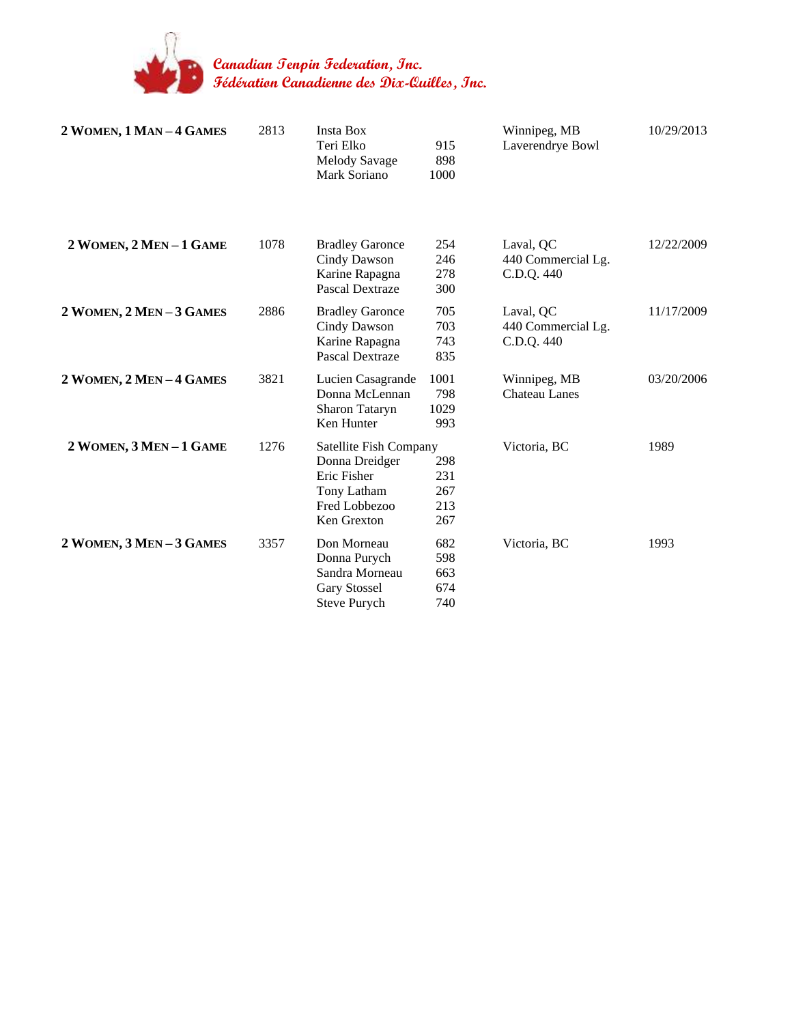

**Canadian Tenpin Federation, Inc. Fédération Canadienne des Dix-Quilles, Inc.**

| 2 WOMEN, 1 MAN-4 GAMES | 2813 | <b>Insta Box</b><br>Teri Elko<br>Melody Savage<br>Mark Soriano                                         | 915<br>898<br>1000              | Winnipeg, MB<br>Laverendrye Bowl              | 10/29/2013 |
|------------------------|------|--------------------------------------------------------------------------------------------------------|---------------------------------|-----------------------------------------------|------------|
| 2 WOMEN, 2 MEN-1 GAME  | 1078 | <b>Bradley Garonce</b><br>Cindy Dawson<br>Karine Rapagna<br>Pascal Dextraze                            | 254<br>246<br>278<br>300        | Laval, QC<br>440 Commercial Lg.<br>C.D.Q. 440 | 12/22/2009 |
| 2 WOMEN, 2 MEN-3 GAMES | 2886 | <b>Bradley Garonce</b><br>Cindy Dawson<br>Karine Rapagna<br>Pascal Dextraze                            | 705<br>703<br>743<br>835        | Laval, QC<br>440 Commercial Lg.<br>C.D.Q. 440 | 11/17/2009 |
| 2 WOMEN, 2 MEN-4 GAMES | 3821 | Lucien Casagrande<br>Donna McLennan<br>Sharon Tataryn<br>Ken Hunter                                    | 1001<br>798<br>1029<br>993      | Winnipeg, MB<br><b>Chateau Lanes</b>          | 03/20/2006 |
| 2 WOMEN, 3 MEN-1 GAME  | 1276 | Satellite Fish Company<br>Donna Dreidger<br>Eric Fisher<br>Tony Latham<br>Fred Lobbezoo<br>Ken Grexton | 298<br>231<br>267<br>213<br>267 | Victoria, BC                                  | 1989       |
| 2 WOMEN, 3 MEN-3 GAMES | 3357 | Don Morneau<br>Donna Purych<br>Sandra Morneau<br><b>Gary Stossel</b><br>Steve Purych                   | 682<br>598<br>663<br>674<br>740 | Victoria, BC                                  | 1993       |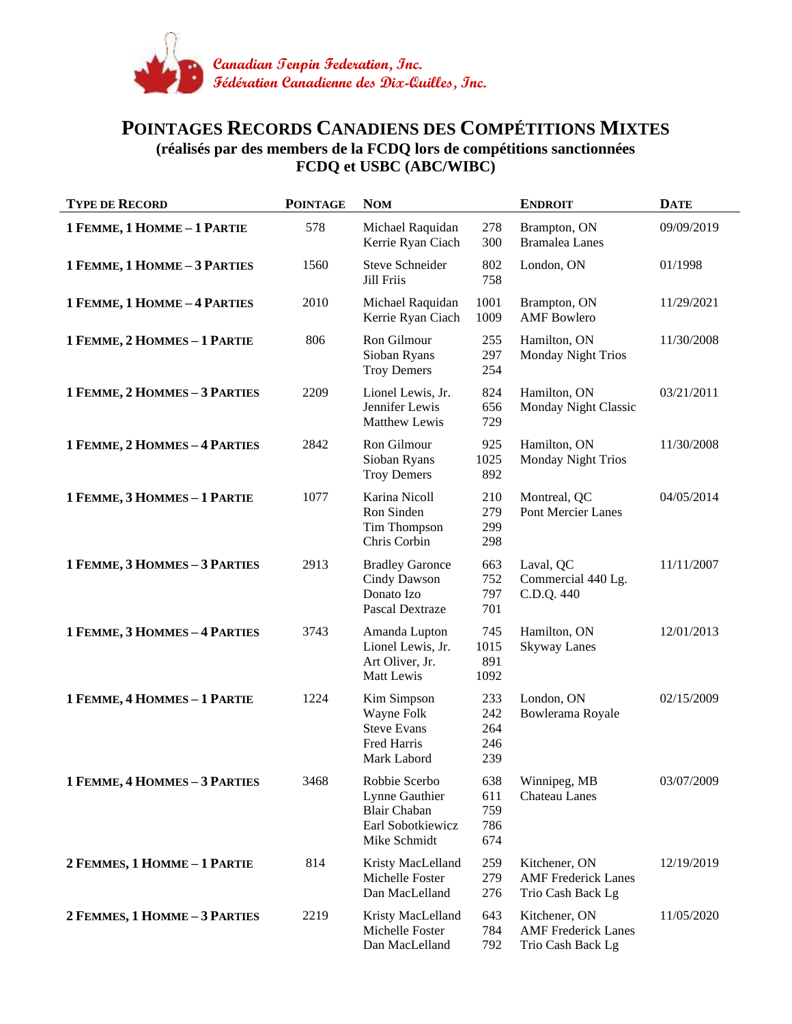

## **POINTAGES RECORDS CANADIENS DES COMPÉTITIONS MIXTES (réalisés par des members de la FCDQ lors de compétitions sanctionnées FCDQ et USBC (ABC/WIBC)**

| <b>TYPE DE RECORD</b>         | <b>POINTAGE</b> | <b>NOM</b>                                                                                  |                                 | <b>ENDROIT</b>                                                   | <b>DATE</b> |
|-------------------------------|-----------------|---------------------------------------------------------------------------------------------|---------------------------------|------------------------------------------------------------------|-------------|
| 1 FEMME, 1 HOMME - 1 PARTIE   | 578             | Michael Raquidan<br>Kerrie Ryan Ciach                                                       | 278<br>300                      | Brampton, ON<br><b>Bramalea</b> Lanes                            | 09/09/2019  |
| 1 FEMME, 1 HOMME - 3 PARTIES  | 1560            | <b>Steve Schneider</b><br>Jill Friis                                                        | 802<br>758                      | London, ON                                                       | 01/1998     |
| 1 FEMME, 1 HOMME - 4 PARTIES  | 2010            | Michael Raquidan<br>Kerrie Ryan Ciach                                                       | 1001<br>1009                    | Brampton, ON<br><b>AMF</b> Bowlero                               | 11/29/2021  |
| 1 FEMME, 2 HOMMES - 1 PARTIE  | 806             | Ron Gilmour<br>Sioban Ryans<br><b>Troy Demers</b>                                           | 255<br>297<br>254               | Hamilton, ON<br>Monday Night Trios                               | 11/30/2008  |
| 1 FEMME, 2 HOMMES - 3 PARTIES | 2209            | Lionel Lewis, Jr.<br>Jennifer Lewis<br>Matthew Lewis                                        | 824<br>656<br>729               | Hamilton, ON<br>Monday Night Classic                             | 03/21/2011  |
| 1 FEMME, 2 HOMMES - 4 PARTIES | 2842            | Ron Gilmour<br>Sioban Ryans<br><b>Troy Demers</b>                                           | 925<br>1025<br>892              | Hamilton, ON<br><b>Monday Night Trios</b>                        | 11/30/2008  |
| 1 FEMME, 3 HOMMES - 1 PARTIE  | 1077            | Karina Nicoll<br>Ron Sinden<br>Tim Thompson<br>Chris Corbin                                 | 210<br>279<br>299<br>298        | Montreal, QC<br>Pont Mercier Lanes                               | 04/05/2014  |
| 1 FEMME, 3 HOMMES - 3 PARTIES | 2913            | <b>Bradley Garonce</b><br>Cindy Dawson<br>Donato Izo<br>Pascal Dextraze                     | 663<br>752<br>797<br>701        | Laval, QC<br>Commercial 440 Lg.<br>C.D.Q. 440                    | 11/11/2007  |
| 1 FEMME, 3 HOMMES - 4 PARTIES | 3743            | Amanda Lupton<br>Lionel Lewis, Jr.<br>Art Oliver, Jr.<br>Matt Lewis                         | 745<br>1015<br>891<br>1092      | Hamilton, ON<br><b>Skyway Lanes</b>                              | 12/01/2013  |
| 1 FEMME, 4 HOMMES - 1 PARTIE  | 1224            | Kim Simpson<br>Wayne Folk<br><b>Steve Evans</b><br>Fred Harris<br>Mark Labord               | 233<br>242<br>264<br>246<br>239 | London, ON<br>Bowlerama Royale                                   | 02/15/2009  |
| 1 FEMME, 4 HOMMES - 3 PARTIES | 3468            | Robbie Scerbo<br>Lynne Gauthier<br><b>Blair Chaban</b><br>Earl Sobotkiewicz<br>Mike Schmidt | 638<br>611<br>759<br>786<br>674 | Winnipeg, MB<br><b>Chateau Lanes</b>                             | 03/07/2009  |
| 2 FEMMES, 1 HOMME - 1 PARTIE  | 814             | Kristy MacLelland<br>Michelle Foster<br>Dan MacLelland                                      | 259<br>279<br>276               | Kitchener, ON<br><b>AMF</b> Frederick Lanes<br>Trio Cash Back Lg | 12/19/2019  |
| 2 FEMMES, 1 HOMME - 3 PARTIES | 2219            | Kristy MacLelland<br>Michelle Foster<br>Dan MacLelland                                      | 643<br>784<br>792               | Kitchener, ON<br><b>AMF</b> Frederick Lanes<br>Trio Cash Back Lg | 11/05/2020  |